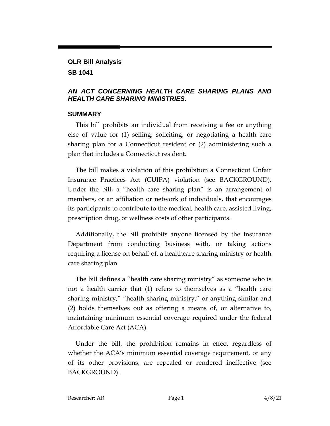# **OLR Bill Analysis SB 1041**

# *AN ACT CONCERNING HEALTH CARE SHARING PLANS AND HEALTH CARE SHARING MINISTRIES.*

# **SUMMARY**

This bill prohibits an individual from receiving a fee or anything else of value for (1) selling, soliciting, or negotiating a health care sharing plan for a Connecticut resident or (2) administering such a plan that includes a Connecticut resident.

The bill makes a violation of this prohibition a Connecticut Unfair Insurance Practices Act (CUIPA) violation (see BACKGROUND). Under the bill, a "health care sharing plan" is an arrangement of members, or an affiliation or network of individuals, that encourages its participants to contribute to the medical, health care, assisted living, prescription drug, or wellness costs of other participants.

Additionally, the bill prohibits anyone licensed by the Insurance Department from conducting business with, or taking actions requiring a license on behalf of, a healthcare sharing ministry or health care sharing plan.

The bill defines a "health care sharing ministry" as someone who is not a health carrier that (1) refers to themselves as a "health care sharing ministry," "health sharing ministry," or anything similar and (2) holds themselves out as offering a means of, or alternative to, maintaining minimum essential coverage required under the federal Affordable Care Act (ACA).

Under the bill, the prohibition remains in effect regardless of whether the ACA's minimum essential coverage requirement, or any of its other provisions, are repealed or rendered ineffective (see BACKGROUND).